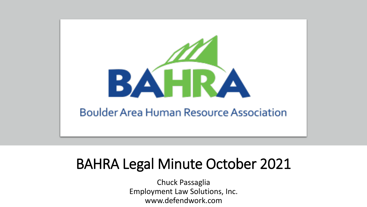

# BAHRA Legal Minute October 2021

Chuck Passaglia Employment Law Solutions, Inc. www.defendwork.com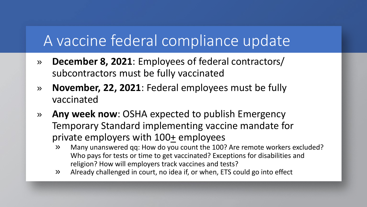# A vaccine federal compliance update

- » **December 8, 2021**: Employees of federal contractors/ subcontractors must be fully vaccinated
- » **November, 22, 2021**: Federal employees must be fully vaccinated
- » **Any week now**: OSHA expected to publish Emergency Temporary Standard implementing vaccine mandate for private employers with 100+ employees
	- » Many unanswered qq: How do you count the 100? Are remote workers excluded? Who pays for tests or time to get vaccinated? Exceptions for disabilities and religion? How will employers track vaccines and tests?
	- » Already challenged in court, no idea if, or when, ETS could go into effect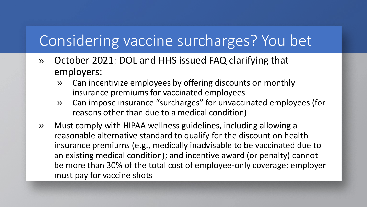# Considering vaccine surcharges? You bet

- » October 2021: DOL and HHS issued FAQ clarifying that employers:
	- » Can incentivize employees by offering discounts on monthly insurance premiums for vaccinated employees
	- » Can impose insurance "surcharges" for unvaccinated employees (for reasons other than due to a medical condition)
- » Must comply with HIPAA wellness guidelines, including allowing a reasonable alternative standard to qualify for the discount on health insurance premiums (e.g., medically inadvisable to be vaccinated due to an existing medical condition); and incentive award (or penalty) cannot be more than 30% of the total cost of employee-only coverage; employer must pay for vaccine shots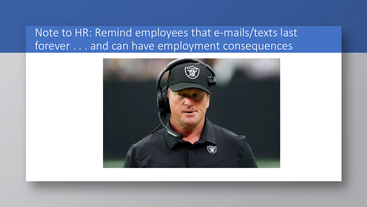#### Note to HR: Remind employees that e-mails/texts last forever . . . and can have employment consequences